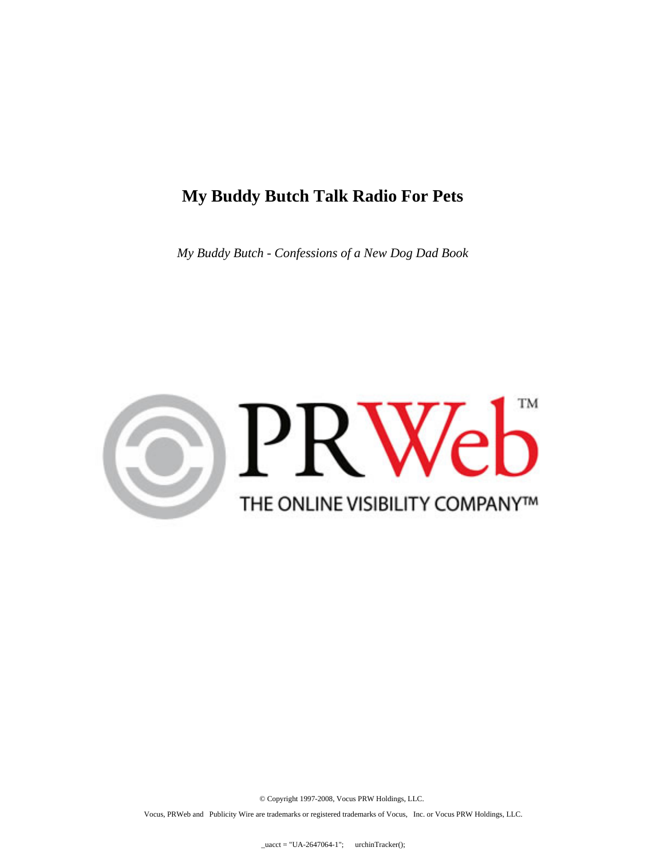### **My Buddy Butch Talk Radio For Pets**

*My Buddy Butch - Confessions of a New Dog Dad Book*



© Copyright 1997-2008, Vocus PRW Holdings, LLC.

Vocus, PRWeb and Publicity Wire are trademarks or registered trademarks of Vocus, Inc. or Vocus PRW Holdings, LLC.

 $\text{uacct} = \text{"UA-2647064-1";}$  urchinTracker();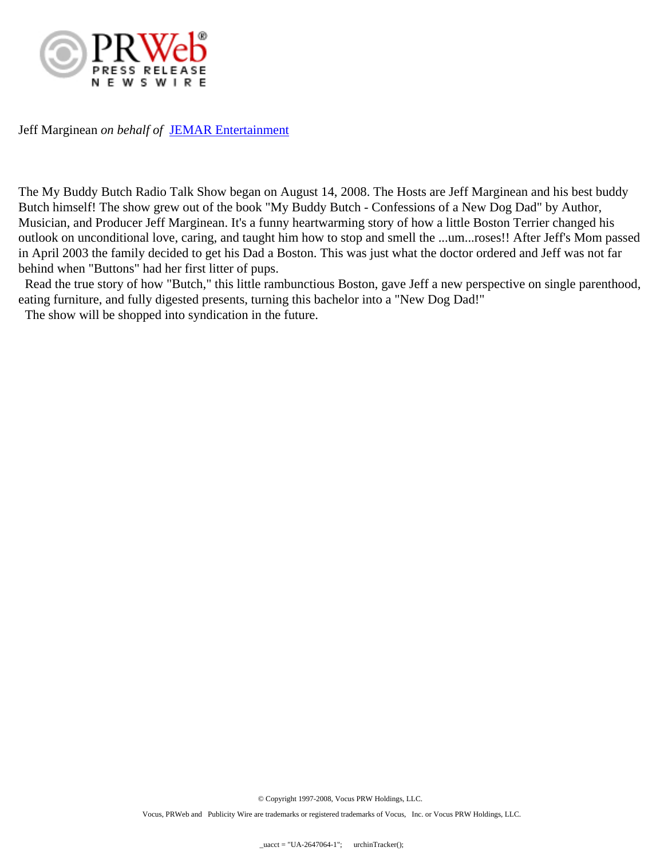

Jeff Marginean *on behalf of* [JEMAR Entertainment](www.mybuddybutch.com)

The My Buddy Butch Radio Talk Show began on August 14, 2008. The Hosts are Jeff Marginean and his best buddy Butch himself! The show grew out of the book "My Buddy Butch - Confessions of a New Dog Dad" by Author, Musician, and Producer Jeff Marginean. It's a funny heartwarming story of how a little Boston Terrier changed his outlook on unconditional love, caring, and taught him how to stop and smell the ...um...roses!! After Jeff's Mom passed in April 2003 the family decided to get his Dad a Boston. This was just what the doctor ordered and Jeff was not far behind when "Buttons" had her first litter of pups.

 Read the true story of how "Butch," this little rambunctious Boston, gave Jeff a new perspective on single parenthood, eating furniture, and fully digested presents, turning this bachelor into a "New Dog Dad!"

The show will be shopped into syndication in the future.

© Copyright 1997-2008, Vocus PRW Holdings, LLC.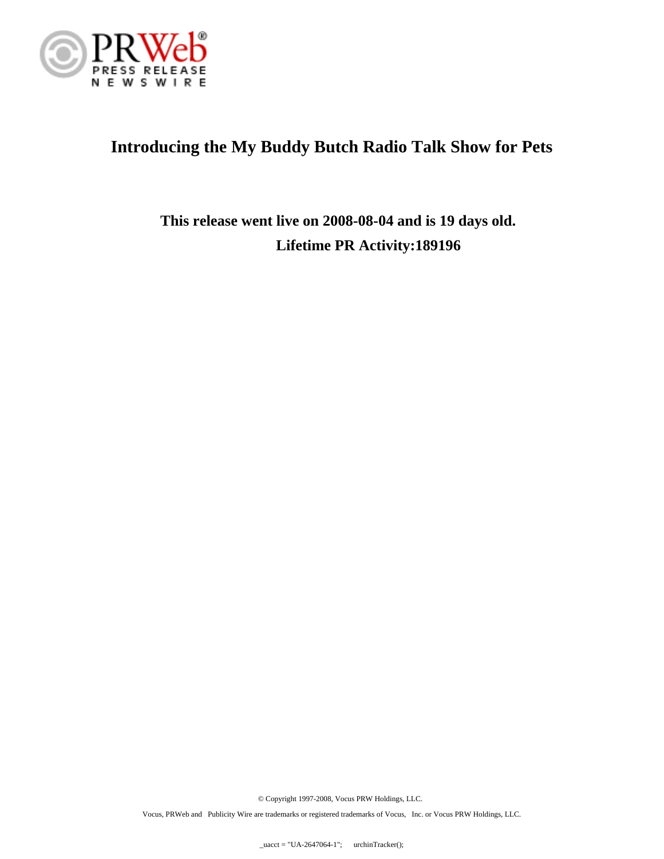

# **Introducing the My Buddy Butch Radio Talk Show for Pets**

**This release went live on 2008-08-04 and is 19 days old. Lifetime PR Activity:189196**

© Copyright 1997-2008, Vocus PRW Holdings, LLC.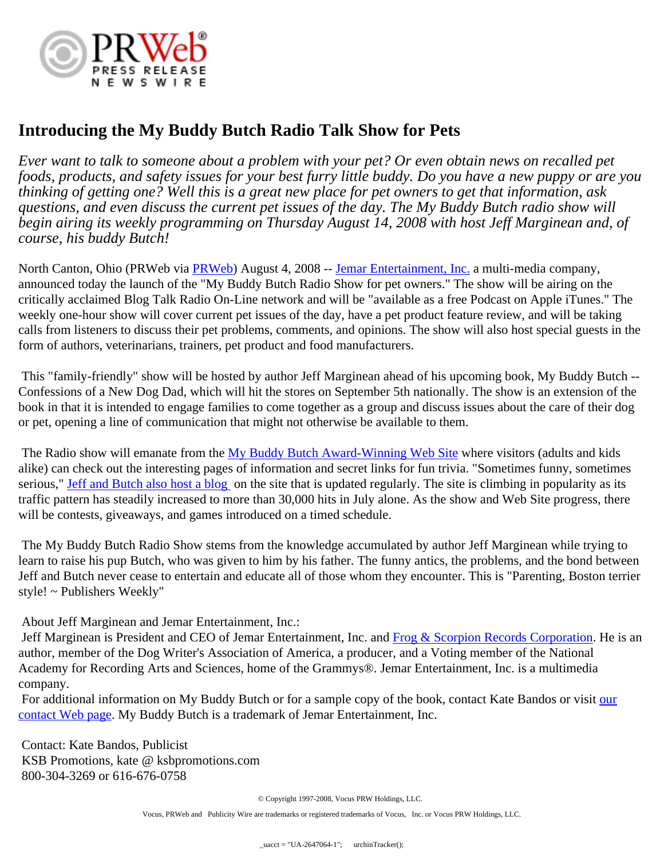

## **Introducing the My Buddy Butch Radio Talk Show for Pets**

*Ever want to talk to someone about a problem with your pet? Or even obtain news on recalled pet foods, products, and safety issues for your best furry little buddy. Do you have a new puppy or are you thinking of getting one? Well this is a great new place for pet owners to get that information, ask questions, and even discuss the current pet issues of the day. The My Buddy Butch radio show will begin airing its weekly programming on Thursday August 14, 2008 with host Jeff Marginean and, of course, his buddy Butch!*

North Canton, Ohio ([PRWeb](http://www.prweb.com) via **PRWeb**) August 4, 2008 -- [Jemar Entertainment, Inc.](http://www.jemarentertainment.com) a multi-media company, announced today the launch of the "My Buddy Butch Radio Show for pet owners." The show will be airing on the critically acclaimed Blog Talk Radio On-Line network and will be "available as a free Podcast on Apple iTunes." The weekly one-hour show will cover current pet issues of the day, have a pet product feature review, and will be taking calls from listeners to discuss their pet problems, comments, and opinions. The show will also host special guests in the form of authors, veterinarians, trainers, pet product and food manufacturers.

 This "family-friendly" show will be hosted by author Jeff Marginean ahead of his upcoming book, My Buddy Butch -- Confessions of a New Dog Dad, which will hit the stores on September 5th nationally. The show is an extension of the book in that it is intended to engage families to come together as a group and discuss issues about the care of their dog or pet, opening a line of communication that might not otherwise be available to them.

The Radio show will emanate from the [My Buddy Butch Award-Winning Web Site](http://www.mybuddybutch.com) where visitors (adults and kids alike) can check out the interesting pages of information and secret links for fun trivia. "Sometimes funny, sometimes serious," [Jeff and Butch also host a blog](http://www.mybuddybutch.com/blog1) on the site that is updated regularly. The site is climbing in popularity as its traffic pattern has steadily increased to more than 30,000 hits in July alone. As the show and Web Site progress, there will be contests, giveaways, and games introduced on a timed schedule.

 The My Buddy Butch Radio Show stems from the knowledge accumulated by author Jeff Marginean while trying to learn to raise his pup Butch, who was given to him by his father. The funny antics, the problems, and the bond between Jeff and Butch never cease to entertain and educate all of those whom they encounter. This is "Parenting, Boston terrier style! ~ Publishers Weekly"

About Jeff Marginean and Jemar Entertainment, Inc.:

Jeff Marginean is President and CEO of Jemar Entertainment, Inc. and [Frog & Scorpion Records Corporation.](http://www.frog-scorpion.com) He is an author, member of the Dog Writer's Association of America, a producer, and a Voting member of the National Academy for Recording Arts and Sciences, home of the Grammys®. Jemar Entertainment, Inc. is a multimedia company.

For additional information on My Buddy Butch or for a sample copy of the book, contact Kate Bandos or visit [our](http://www.mybuddybutch.com/Media%20Room/mbbmediaroomcontact.htm) [contact Web page.](http://www.mybuddybutch.com/Media%20Room/mbbmediaroomcontact.htm) My Buddy Butch is a trademark of Jemar Entertainment, Inc.

 Contact: Kate Bandos, Publicist KSB Promotions, kate @ ksbpromotions.com 800-304-3269 or 616-676-0758

© Copyright 1997-2008, Vocus PRW Holdings, LLC.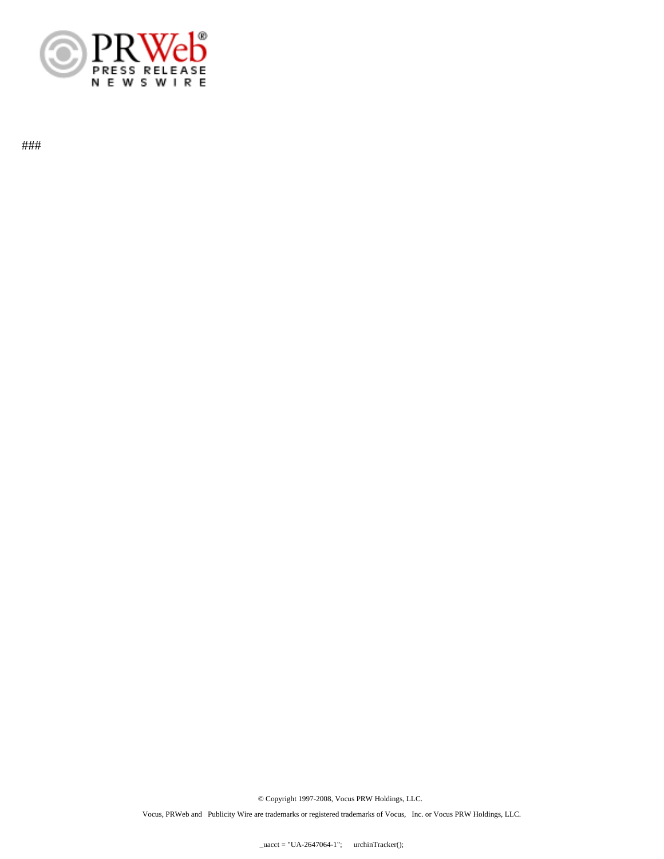

###

© Copyright 1997-2008, Vocus PRW Holdings, LLC.

Vocus, PRWeb and Publicity Wire are trademarks or registered trademarks of Vocus, Inc. or Vocus PRW Holdings, LLC.

 $uacct = "UA-2647064-1";$  urchinTracker();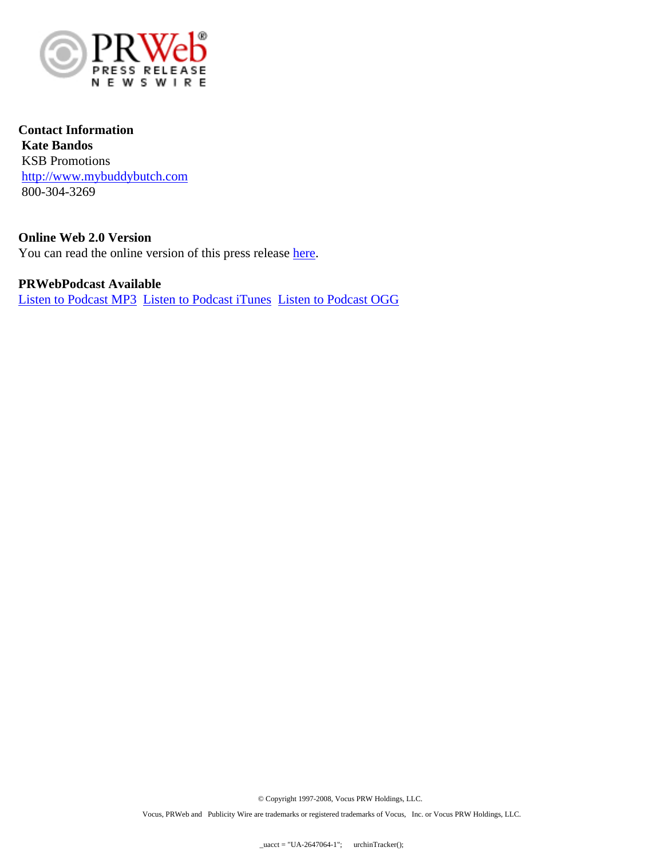

**Contact Information Kate Bandos** KSB Promotions <http://www.mybuddybutch.com> 800-304-3269

**Online Web 2.0 Version** You can read the online version of this press release [here.](http://console.prweb.com/releases/mybuddybutch/radio/prweb1160384.htm)

**PRWebPodcast Available** [Listen to Podcast MP3](http://prwebpodcast.com/pod/1160384/1160384.mp3) [Listen to Podcast iTunes](itpc://prwebpodcast.com/pod/1160384/1160384.m4a) [Listen to Podcast OGG](http://prwebpodcast.com/pod/1160384/1160384.ogg)

© Copyright 1997-2008, Vocus PRW Holdings, LLC.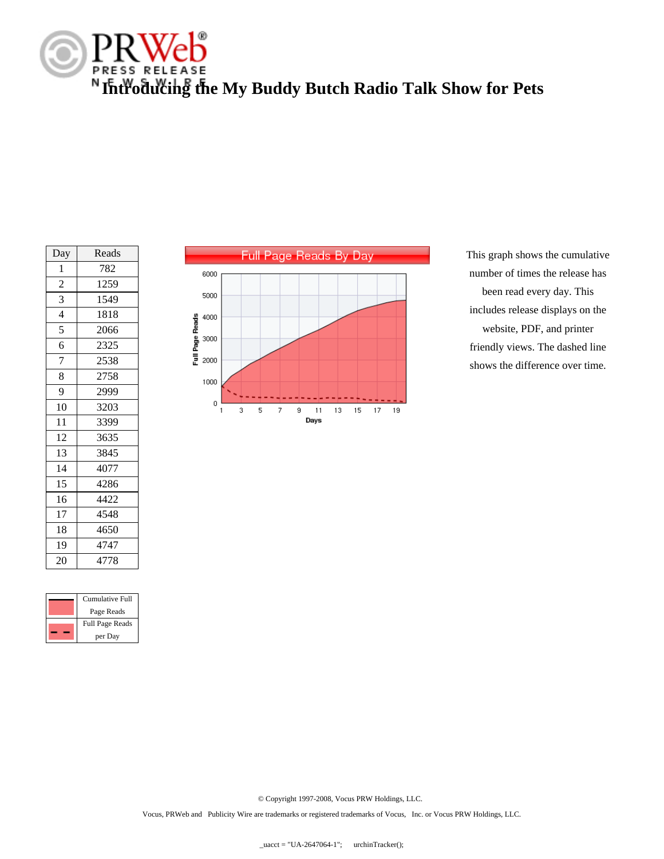

| Reads<br>Day<br>1<br>782<br>$\overline{c}$<br>1259<br>3<br>1549<br>$\overline{4}$<br>1818<br>5<br>2066<br>6<br>2325<br>7<br>2538 |  |
|----------------------------------------------------------------------------------------------------------------------------------|--|
|                                                                                                                                  |  |
|                                                                                                                                  |  |
|                                                                                                                                  |  |
|                                                                                                                                  |  |
|                                                                                                                                  |  |
|                                                                                                                                  |  |
|                                                                                                                                  |  |
|                                                                                                                                  |  |
| 8<br>2758                                                                                                                        |  |
| 9<br>2999                                                                                                                        |  |
| 10<br>3203                                                                                                                       |  |
| 11<br>3399                                                                                                                       |  |
| 12<br>3635                                                                                                                       |  |
| 13<br>3845                                                                                                                       |  |
| 14<br>4077                                                                                                                       |  |
| 15<br>4286                                                                                                                       |  |
| 16<br>4422                                                                                                                       |  |
| 17<br>4548                                                                                                                       |  |
| 18<br>4650                                                                                                                       |  |
| 19<br>4747                                                                                                                       |  |
| 20<br>4778                                                                                                                       |  |

|  | Cumulative Full        |
|--|------------------------|
|  | Page Reads             |
|  | <b>Full Page Reads</b> |
|  | per Day                |



This graph shows the cumulative number of times the release has been read every day. This includes release displays on the website, PDF, and printer friendly views. The dashed line shows the difference over time.

© Copyright 1997-2008, Vocus PRW Holdings, LLC.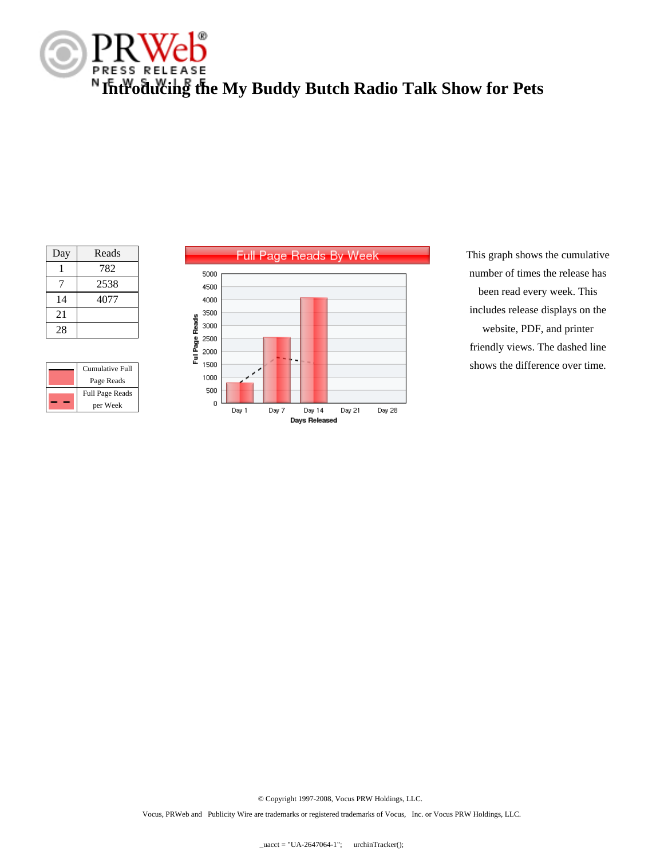

| Day | Reads |
|-----|-------|
|     | 782   |
| 7   | 2538  |
| 14  | 4077  |
| 21  |       |
| 28  |       |

| Cumulative Full<br>Page Reads      |
|------------------------------------|
| <b>Full Page Reads</b><br>per Week |



This graph shows the cumulative number of times the release has been read every week. This includes release displays on the website, PDF, and printer friendly views. The dashed line shows the difference over time.

© Copyright 1997-2008, Vocus PRW Holdings, LLC.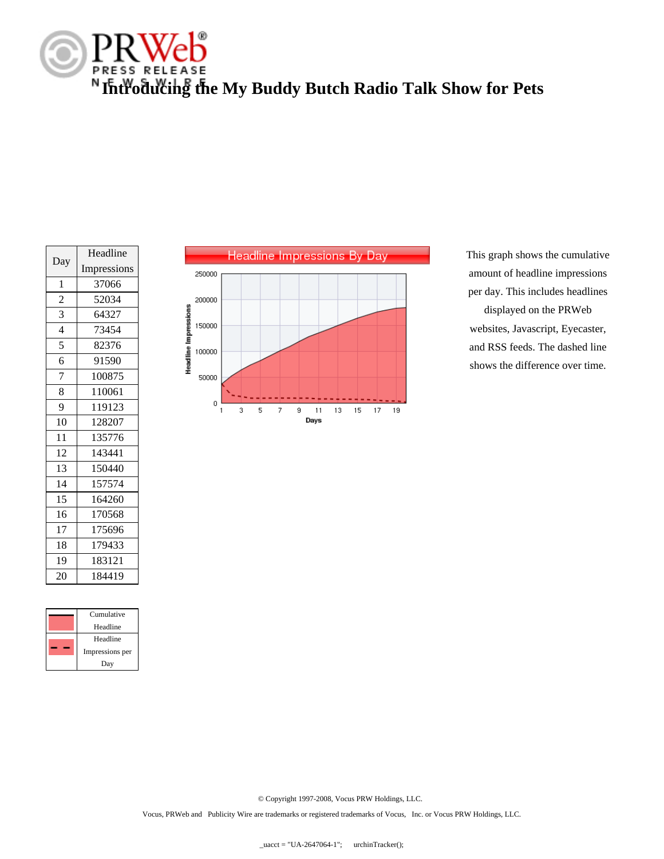

| Day            | Headline    |
|----------------|-------------|
|                | Impressions |
| $\mathbf{1}$   | 37066       |
| $\overline{c}$ | 52034       |
| 3              | 64327       |
| $\overline{4}$ | 73454       |
| 5              | 82376       |
| 6              | 91590       |
| $\overline{7}$ | 100875      |
| 8              | 110061      |
| 9              | 119123      |
| 10             | 128207      |
| 11             | 135776      |
| 12             | 143441      |
| 13             | 150440      |
| 14             | 157574      |
| 15             | 164260      |
| 16             | 170568      |
| 17             | 175696      |
| 18             | 179433      |
| 19             | 183121      |
| 20             | 184419      |

| Cumulative      |
|-----------------|
| Headline        |
| Headline        |
| Impressions per |
| Day             |



This graph shows the cumulative amount of headline impressions per day. This includes headlines displayed on the PRWeb websites, Javascript, Eyecaster, and RSS feeds. The dashed line shows the difference over time.

© Copyright 1997-2008, Vocus PRW Holdings, LLC.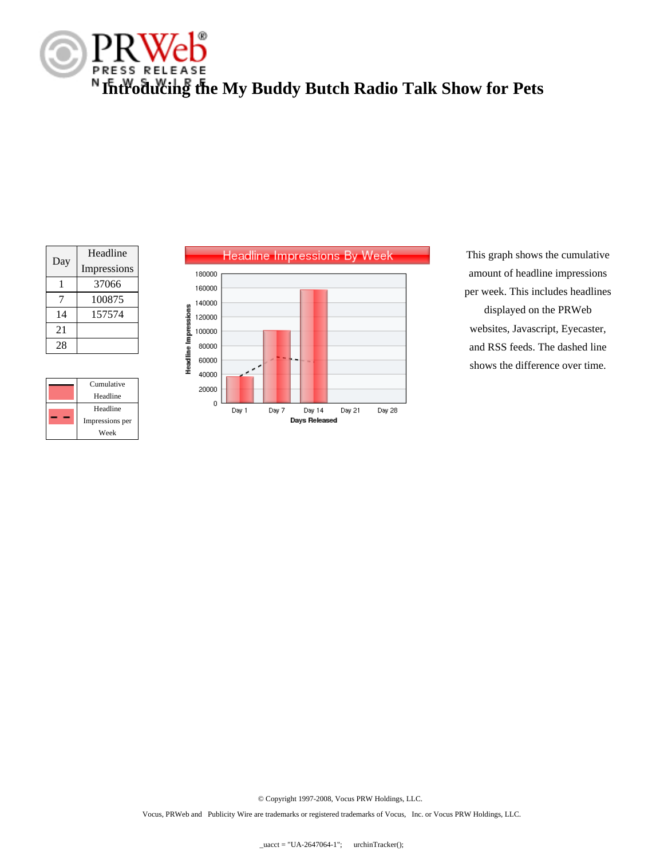

| Day | Headline    |
|-----|-------------|
|     | Impressions |
|     | 37066       |
|     | 100875      |
| 14  | 157574      |
| 21  |             |
| 28  |             |

|  | Cumulative      |
|--|-----------------|
|  | Headline        |
|  | Headline        |
|  | Impressions per |
|  | Week            |



This graph shows the cumulative amount of headline impressions per week. This includes headlines displayed on the PRWeb websites, Javascript, Eyecaster, and RSS feeds. The dashed line shows the difference over time.

© Copyright 1997-2008, Vocus PRW Holdings, LLC.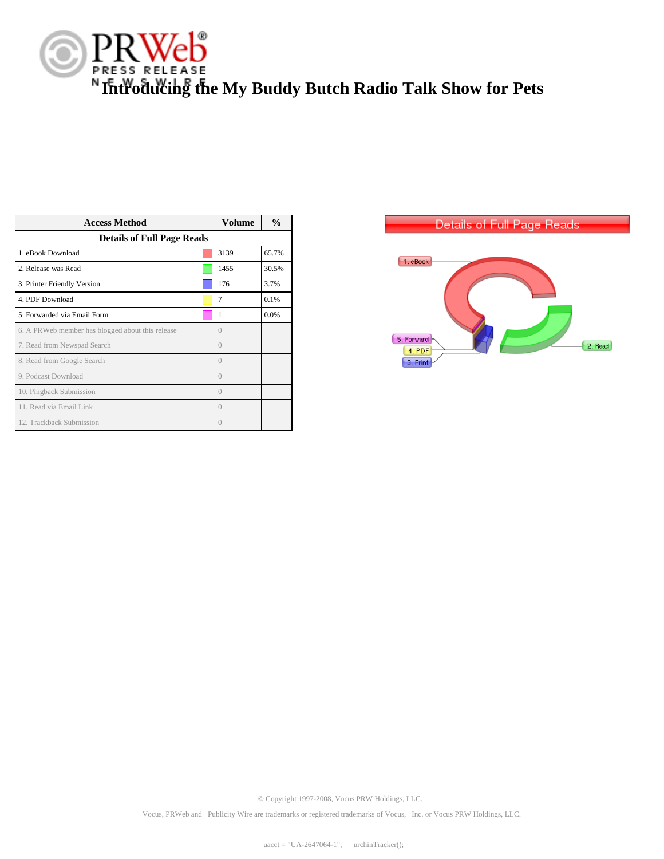

| <b>Access Method</b>                             | Volume   | $\frac{0}{0}$ |  |
|--------------------------------------------------|----------|---------------|--|
| <b>Details of Full Page Reads</b>                |          |               |  |
| 1. eBook Download                                | 3139     | 65.7%         |  |
| 2. Release was Read                              | 1455     | 30.5%         |  |
| 3. Printer Friendly Version                      | 176      | 3.7%          |  |
| 4. PDF Download                                  | 7        | 0.1%          |  |
| 5. Forwarded via Email Form                      |          | 0.0%          |  |
| 6. A PRWeb member has blogged about this release |          |               |  |
| 7. Read from Newspad Search                      |          |               |  |
| 8. Read from Google Search                       |          |               |  |
| 9. Podcast Download                              |          |               |  |
| 10. Pingback Submission                          |          |               |  |
| 11. Read via Email Link                          | $^{(+)}$ |               |  |
| 12. Trackback Submission                         |          |               |  |



© Copyright 1997-2008, Vocus PRW Holdings, LLC.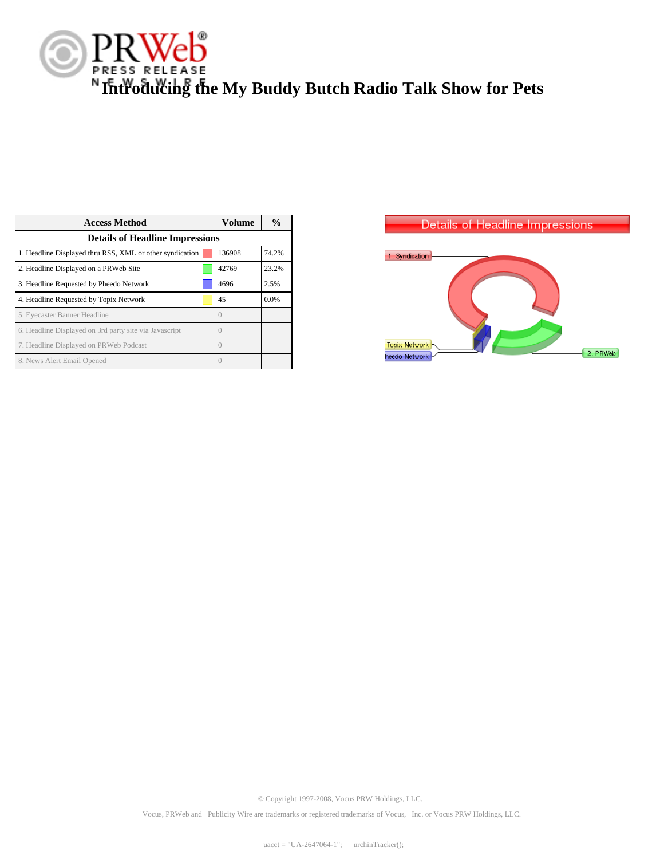

| <b>Access Method</b>                                     | Volume | $\frac{0}{0}$ |  |
|----------------------------------------------------------|--------|---------------|--|
| <b>Details of Headline Impressions</b>                   |        |               |  |
| 1. Headline Displayed thru RSS, XML or other syndication | 136908 | 74.2%         |  |
| 2. Headline Displayed on a PRWeb Site                    | 42769  | 23.2%         |  |
| 3. Headline Requested by Pheedo Network                  | 4696   | 2.5%          |  |
| 4. Headline Requested by Topix Network                   | 45     | 0.0%          |  |
| 5. Eyecaster Banner Headline                             |        |               |  |
| 6. Headline Displayed on 3rd party site via Javascript   |        |               |  |
| 7. Headline Displayed on PRWeb Podcast                   |        |               |  |
| 8. News Alert Email Opened                               |        |               |  |



© Copyright 1997-2008, Vocus PRW Holdings, LLC.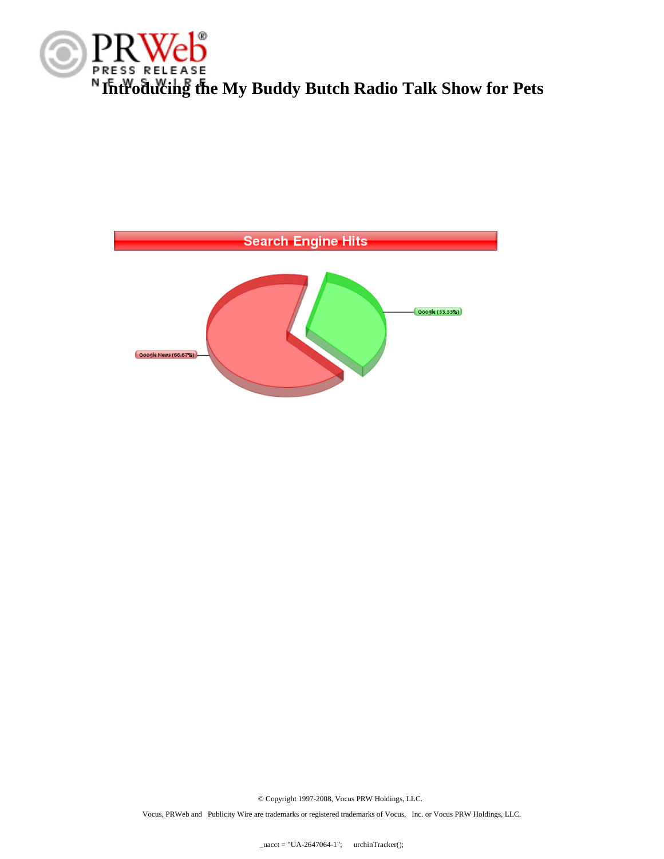



© Copyright 1997-2008, Vocus PRW Holdings, LLC.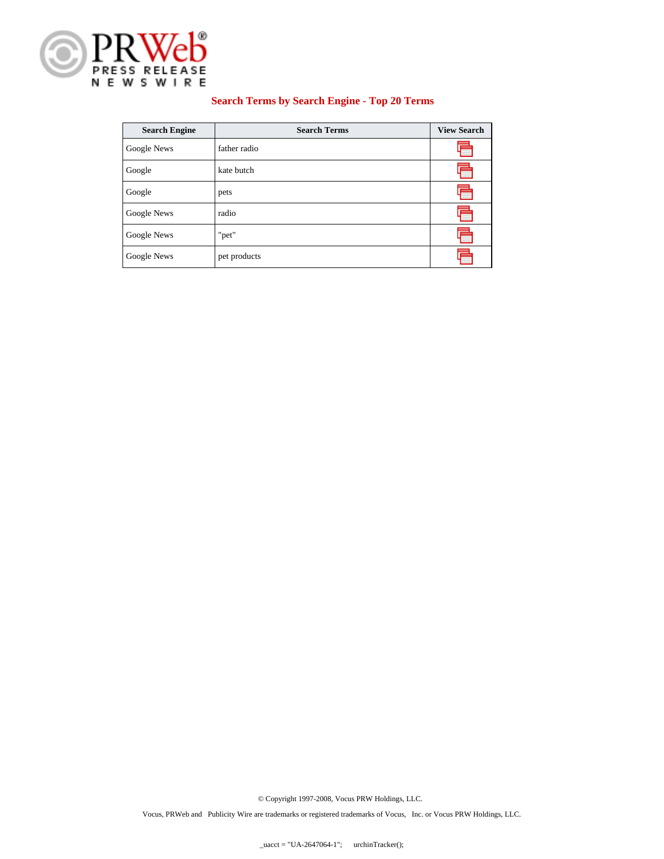

#### **Search Terms by Search Engine - Top 20 Terms**

| <b>Search Engine</b> | <b>Search Terms</b> | <b>View Search</b> |
|----------------------|---------------------|--------------------|
| Google News          | father radio        |                    |
| Google               | kate butch          |                    |
| Google               | pets                |                    |
| Google News          | radio               |                    |
| Google News          | "pet"               |                    |
| Google News          | pet products        |                    |

© Copyright 1997-2008, Vocus PRW Holdings, LLC.

Vocus, PRWeb and Publicity Wire are trademarks or registered trademarks of Vocus, Inc. or Vocus PRW Holdings, LLC.

 $uacct = "UA-2647064-1";$  urchinTracker();